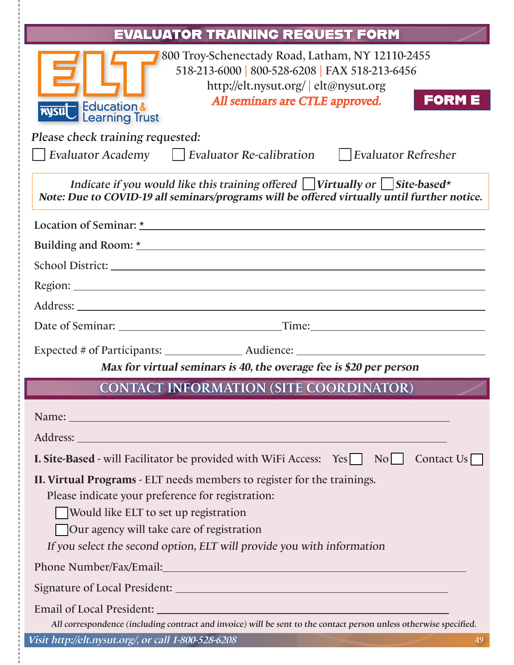| EVALUATOR TRAINING REQUEST FORM                                                                                                                                                                                                                                                                     |
|-----------------------------------------------------------------------------------------------------------------------------------------------------------------------------------------------------------------------------------------------------------------------------------------------------|
| 800 Troy-Schenectady Road, Latham, NY 12110-2455<br>518-213-6000   800-528-6208   FAX 518-213-6456<br>http://elt.nysut.org/   elt@nysut.org<br><b>FORME</b><br>All seminars are CTLE approved.<br><b>Nysut</b> Education &<br>Please check training requested:                                      |
| Evaluator Academy Evaluator Re-calibration Evaluator Refresher                                                                                                                                                                                                                                      |
| Indicate if you would like this training offered $\Box$ Virtually or $\Box$ Site-based*<br>Note: Due to COVID-19 all seminars/programs will be offered virtually until further notice.                                                                                                              |
|                                                                                                                                                                                                                                                                                                     |
| Building and Room: <u>*</u>                                                                                                                                                                                                                                                                         |
|                                                                                                                                                                                                                                                                                                     |
|                                                                                                                                                                                                                                                                                                     |
|                                                                                                                                                                                                                                                                                                     |
|                                                                                                                                                                                                                                                                                                     |
|                                                                                                                                                                                                                                                                                                     |
| Max for virtual seminars is 40, the overage fee is \$20 per person                                                                                                                                                                                                                                  |
| <b>CONTACT INFORMATION (SITE COORDINATOR)</b>                                                                                                                                                                                                                                                       |
| Name: Name Contract Contract Contract Contract Contract Contract Contract Contract Contract Contract Contract Contract Contract Contract Contract Contract Contract Contract Contract Contract Contract Contract Contract Cont                                                                      |
| Address: <u>Address</u> and the contract of the contract of the contract of the contract of the contract of the contract of the contract of the contract of the contract of the contract of the contract of the contract of the con                                                                 |
| Contact $Us$<br><b>I. Site-Based</b> - will Facilitator be provided with WiFi Access: Yes No                                                                                                                                                                                                        |
| II. Virtual Programs - ELT needs members to register for the trainings.<br>Please indicate your preference for registration:<br>Would like ELT to set up registration<br><b>Our agency will take care of registration</b><br>If you select the second option, ELT will provide you with information |
|                                                                                                                                                                                                                                                                                                     |
|                                                                                                                                                                                                                                                                                                     |
|                                                                                                                                                                                                                                                                                                     |
| All correspondence (including contract and invoice) will be sent to the contact person unless otherwise specified.                                                                                                                                                                                  |